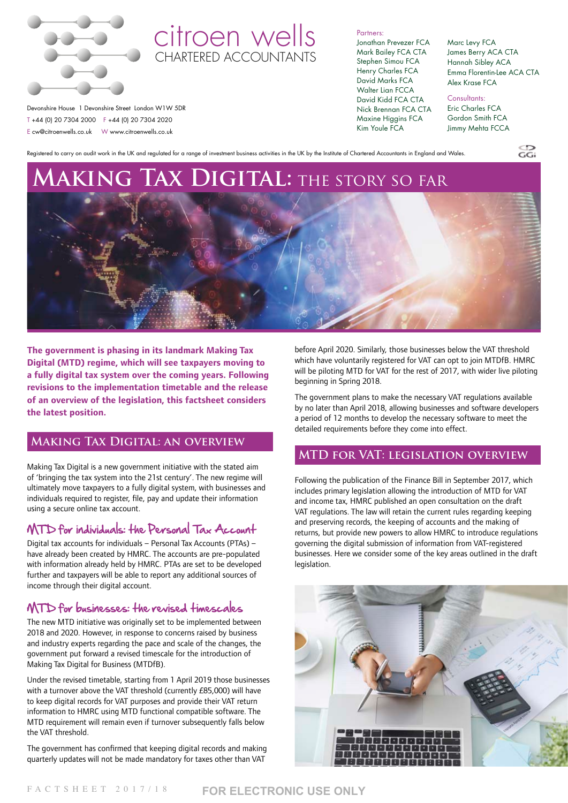

# citroen wells CHARTERED ACCOUNTANTS

Partners:

Jonathan Prevezer FCA Mark Bailey FCA CTA Stephen Simou FCA Henry Charles FCA David Marks FCA Walter Lian FCCA David Kidd FCA CTA Nick Brennan FCA CTA Maxine Higgins FCA Kim Youle FCA

Marc Levy FCA James Berry ACA CTA Hannah Sibley ACA Emma Florentin-Lee ACA CTA Alex Krase FCA

<u>ිදි</u>

Consultants: Eric Charles FCA Gordon Smith FCA Jimmy Mehta FCCA

 Devonshire House 1 Devonshire Street London W1W 5DR T +44 (0) 20 7304 2000 F +44 (0) 20 7304 2020 E cw@citroenwells.co.uk W www.citroenwells.co.uk

Registered to carry on audit work in the UK and regulated for a range of investment business activities in the UK by the Institute of Chartered Accountants in England and Wales.

# **Making Tax Digital:** the story so far



**The government is phasing in its landmark Making Tax Digital (MTD) regime, which will see taxpayers moving to a fully digital tax system over the coming years. Following revisions to the implementation timetable and the release of an overview of the legislation, this factsheet considers the latest position.**

### **Making Tax Digital: an overview**

Making Tax Digital is a new government initiative with the stated aim of 'bringing the tax system into the 21st century'. The new regime will ultimately move taxpayers to a fully digital system, with businesses and individuals required to register, file, pay and update their information using a secure online tax account.

# MTD for individuals: the Personal Tax Account

 Digital tax accounts for individuals – Personal Tax Accounts (PTAs) – have already been created by HMRC. The accounts are pre-populated with information already held by HMRC. PTAs are set to be developed further and taxpayers will be able to report any additional sources of income through their digital account.

# MTD for businesses: the revised timescales

The new MTD initiative was originally set to be implemented between 2018 and 2020. However, in response to concerns raised by business and industry experts regarding the pace and scale of the changes, the government put forward a revised timescale for the introduction of Making Tax Digital for Business (MTDfB).

Under the revised timetable, starting from 1 April 2019 those businesses with a turnover above the VAT threshold (currently £85,000) will have to keep digital records for VAT purposes and provide their VAT return information to HMRC using MTD functional compatible software. The MTD requirement will remain even if turnover subsequently falls below the VAT threshold.

The government has confirmed that keeping digital records and making quarterly updates will not be made mandatory for taxes other than VAT

before April 2020. Similarly, those businesses below the VAT threshold which have voluntarily registered for VAT can opt to join MTDfB. HMRC will be piloting MTD for VAT for the rest of 2017, with wider live piloting beginning in Spring 2018.

The government plans to make the necessary VAT regulations available by no later than April 2018, allowing businesses and software developers a period of 12 months to develop the necessary software to meet the detailed requirements before they come into effect.

# **MTD for VAT: legislation overview**

Following the publication of the Finance Bill in September 2017, which includes primary legislation allowing the introduction of MTD for VAT and income tax, HMRC published an open consultation on the draft VAT regulations. The law will retain the current rules regarding keeping and preserving records, the keeping of accounts and the making of returns, but provide new powers to allow HMRC to introduce regulations governing the digital submission of information from VAT-registered businesses. Here we consider some of the key areas outlined in the draft legislation.